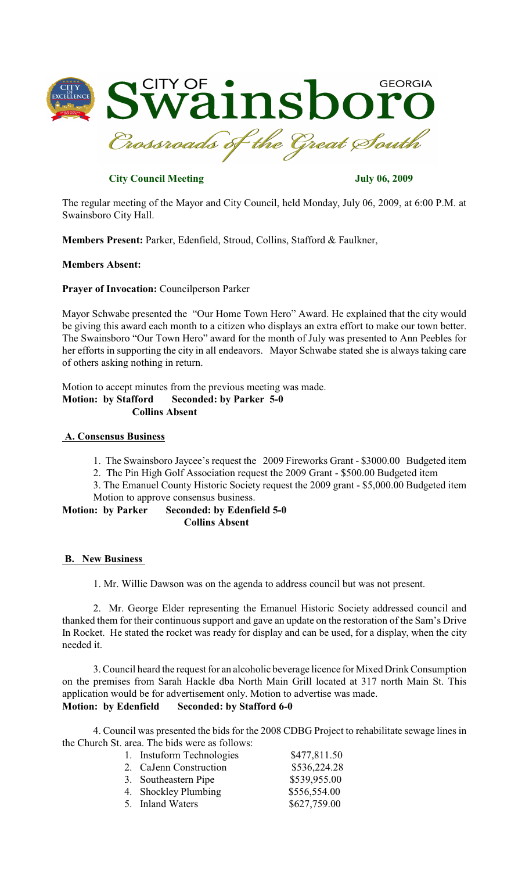

# **City Council Meeting July 06, 2009**

The regular meeting of the Mayor and City Council, held Monday, July 06, 2009, at 6:00 P.M. at Swainsboro City Hall.

**Members Present:** Parker, Edenfield, Stroud, Collins, Stafford & Faulkner,

### **Members Absent:**

**Prayer of Invocation:** Councilperson Parker

Mayor Schwabe presented the "Our Home Town Hero" Award. He explained that the city would be giving this award each month to a citizen who displays an extra effort to make our town better. The Swainsboro "Our Town Hero" award for the month of July was presented to Ann Peebles for her efforts in supporting the city in all endeavors. Mayor Schwabe stated she is always taking care of others asking nothing in return.

Motion to accept minutes from the previous meeting was made. **Motion: by Stafford Seconded: by Parker 5-0 Collins Absent**

#### **A. Consensus Business**

- 1. The Swainsboro Jaycee's request the 2009 Fireworks Grant \$3000.00 Budgeted item
- 2. The Pin High Golf Association request the 2009 Grant \$500.00 Budgeted item

3. The Emanuel County Historic Society request the 2009 grant - \$5,000.00 Budgeted item Motion to approve consensus business.

**Motion: by Parker Seconded: by Edenfield 5-0 Collins Absent**

### **B. New Business**

1. Mr. Willie Dawson was on the agenda to address council but was not present.

2. Mr. George Elder representing the Emanuel Historic Society addressed council and thanked them for their continuous support and gave an update on the restoration of the Sam's Drive In Rocket. He stated the rocket was ready for display and can be used, for a display, when the city needed it.

3. Council heard the request for an alcoholic beverage licence for Mixed Drink Consumption on the premises from Sarah Hackle dba North Main Grill located at 317 north Main St. This application would be for advertisement only. Motion to advertise was made. **Motion: by Edenfield Seconded: by Stafford 6-0**

4. Council was presented the bids for the 2008 CDBG Project to rehabilitate sewage lines in the Church St. area. The bids were as follows:

| \$477,811.50 |
|--------------|
|              |
| \$536,224.28 |
| \$539,955.00 |
| \$556,554.00 |
| \$627,759.00 |
|              |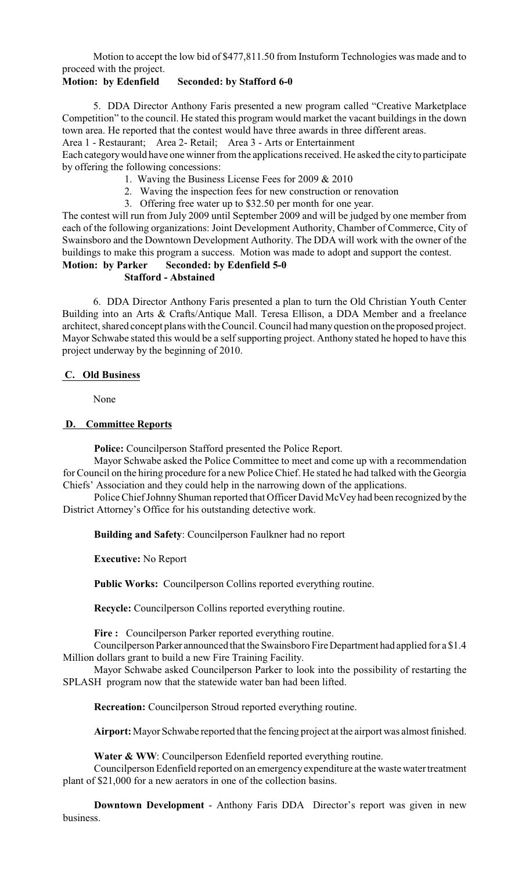Motion to accept the low bid of \$477,811.50 from Instuform Technologies was made and to proceed with the project.

# **Motion: by Edenfield Seconded: by Stafford 6-0**

5. DDA Director Anthony Faris presented a new program called "Creative Marketplace Competition" to the council. He stated this program would market the vacant buildings in the down town area. He reported that the contest would have three awards in three different areas.

Area 1 - Restaurant; Area 2- Retail; Area 3 - Arts or Entertainment

Each categorywould have one winner from the applications received. He asked the cityto participate by offering the following concessions:

- 1. Waving the Business License Fees for 2009 & 2010
- 2. Waving the inspection fees for new construction or renovation
- 3. Offering free water up to \$32.50 per month for one year.

The contest will run from July 2009 until September 2009 and will be judged by one member from each of the following organizations: Joint Development Authority, Chamber of Commerce, City of Swainsboro and the Downtown Development Authority. The DDA will work with the owner of the buildings to make this program a success. Motion was made to adopt and support the contest. **Motion: by Parker Seconded: by Edenfield 5-0**

### **Stafford - Abstained**

6. DDA Director Anthony Faris presented a plan to turn the Old Christian Youth Center Building into an Arts & Crafts/Antique Mall. Teresa Ellison, a DDA Member and a freelance architect, shared concept plans with the Council. Council had manyquestion on the proposed project. Mayor Schwabe stated this would be a self supporting project. Anthony stated he hoped to have this project underway by the beginning of 2010.

### **C. Old Business**

None

### **D. Committee Reports**

**Police:** Councilperson Stafford presented the Police Report.

Mayor Schwabe asked the Police Committee to meet and come up with a recommendation for Council on the hiring procedure for a new Police Chief. He stated he had talked with the Georgia Chiefs' Association and they could help in the narrowing down of the applications.

Police Chief Johnny Shuman reported that Officer David McVey had been recognized by the District Attorney's Office for his outstanding detective work.

**Building and Safety**: Councilperson Faulkner had no report

**Executive:** No Report

**Public Works:** Councilperson Collins reported everything routine.

**Recycle:** Councilperson Collins reported everything routine.

**Fire :** Councilperson Parker reported everything routine.

Councilperson Parker announced that the Swainsboro FireDepartment had applied for a \$1.4 Million dollars grant to build a new Fire Training Facility.

Mayor Schwabe asked Councilperson Parker to look into the possibility of restarting the SPLASH program now that the statewide water ban had been lifted.

**Recreation:** Councilperson Stroud reported everything routine.

**Airport:**Mayor Schwabe reported that the fencing project at the airport was almost finished.

Water & WW: Councilperson Edenfield reported everything routine.

Councilperson Edenfield reported on an emergency expenditure at the waste water treatment plant of \$21,000 for a new aerators in one of the collection basins.

**Downtown Development** - Anthony Faris DDA Director's report was given in new business.